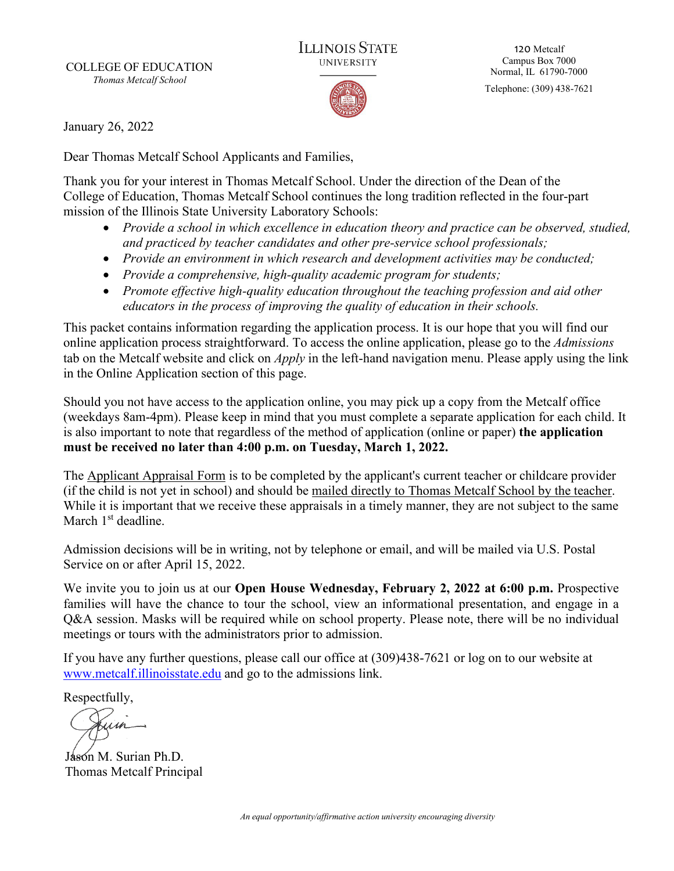COLLEGE OF EDUCATION *Thomas Metcalf School*



120 Metcalf Campus Box 7000 Normal, IL 61790-7000

Telephone: (309) 438-7621

January 26, 2022

Dear Thomas Metcalf School Applicants and Families,

Thank you for your interest in Thomas Metcalf School. Under the direction of the Dean of the College of Education, Thomas Metcalf School continues the long tradition reflected in the four-part mission of the Illinois State University Laboratory Schools:

- *Provide a school in which excellence in education theory and practice can be observed, studied, and practiced by teacher candidates and other pre-service school professionals;*
- *Provide an environment in which research and development activities may be conducted;*
- *Provide a comprehensive, high-quality academic program for students;*
- *Promote effective high-quality education throughout the teaching profession and aid other educators in the process of improving the quality of education in their schools.*

This packet contains information regarding the application process. It is our hope that you will find our online application process straightforward. To access the online application, please go to the *Admissions*  tab on the Metcalf website and click on *Apply* in the left-hand navigation menu. Please apply using the link in the Online Application section of this page.

Should you not have access to the application online, you may pick up a copy from the Metcalf office (weekdays 8am-4pm). Please keep in mind that you must complete a separate application for each child. It is also important to note that regardless of the method of application (online or paper) **the application must be received no later than 4:00 p.m. on Tuesday, March 1, 2022.**

The Applicant Appraisal Form is to be completed by the applicant's current teacher or childcare provider (if the child is not yet in school) and should be mailed directly to Thomas Metcalf School by the teacher. While it is important that we receive these appraisals in a timely manner, they are not subject to the same March 1<sup>st</sup> deadline.

Admission decisions will be in writing, not by telephone or email, and will be mailed via U.S. Postal Service on or after April 15, 2022.

We invite you to join us at our **Open House Wednesday, February 2, 2022 at 6:00 p.m.** Prospective families will have the chance to tour the school, view an informational presentation, and engage in a Q&A session. Masks will be required while on school property. Please note, there will be no individual meetings or tours with the administrators prior to admission.

If you have any further questions, please call our office at (309)438-7621 or log on to our website at [www.metcalf.illinoisstate.edu](http://www.metcalf.illinoisstate.edu/) and go to the admissions link.

Respectfully,

Jason M. Surian Ph.D. Thomas Metcalf Principal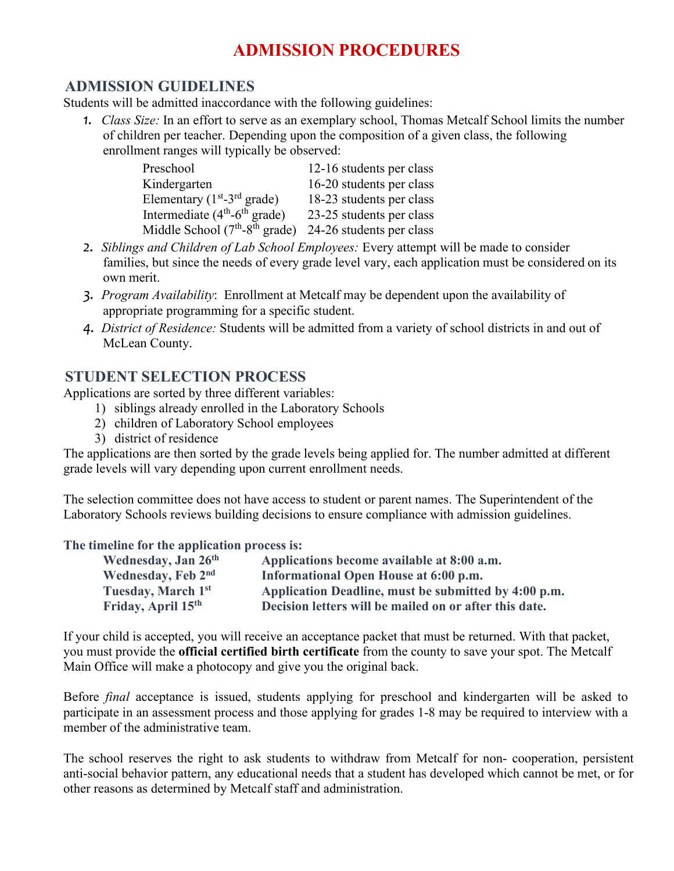# **ADMISSION PROCEDURES**

### **ADMISSION GUIDELINES**

Students will be admitted inaccordance with the following guidelines:

*1. Class Size:* In an effort to serve as an exemplary school, Thomas Metcalf School limits the number of children per teacher. Depending upon the composition of a given class, the following enrollment ranges will typically be observed:

| Preschool                               | 12-16 students per class |
|-----------------------------------------|--------------------------|
| Kindergarten                            | 16-20 students per class |
| Elementary $(1st-3rd \text{ grade})$    | 18-23 students per class |
| Intermediate $(4th-6th$ grade)          | 23-25 students per class |
| Middle School $(7th-8th \text{ grade})$ | 24-26 students per class |

- *2. Siblings and Children of Lab School Employees:* Every attempt will be made to consider families, but since the needs of every grade level vary, each application must be considered on its own merit.
- *3. Program Availability*: Enrollment at Metcalf may be dependent upon the availability of appropriate programming for a specific student.
- *4. District of Residence:* Students will be admitted from a variety of school districts in and out of McLean County.

### **STUDENT SELECTION PROCESS**

Applications are sorted by three different variables:

- 1) siblings already enrolled in the Laboratory Schools
- 2) children of Laboratory School employees
- 3) district of residence

The applications are then sorted by the grade levels being applied for. The number admitted at different grade levels will vary depending upon current enrollment needs.

The selection committee does not have access to student or parent names. The Superintendent of the Laboratory Schools reviews building decisions to ensure compliance with admission guidelines.

### **The timeline for the application process is:**

| Wednesday, Jan 26 <sup>th</sup> | Applications become available at 8:00 a.m.             |
|---------------------------------|--------------------------------------------------------|
| Wednesday, Feb 2nd              | Informational Open House at 6:00 p.m.                  |
| Tuesday, March 1st              | Application Deadline, must be submitted by 4:00 p.m.   |
| Friday, April 15 <sup>th</sup>  | Decision letters will be mailed on or after this date. |

If your child is accepted, you will receive an acceptance packet that must be returned. With that packet, you must provide the **official certified birth certificate** from the county to save your spot. The Metcalf Main Office will make a photocopy and give you the original back.

Before *final* acceptance is issued, students applying for preschool and kindergarten will be asked to participate in an assessment process and those applying for grades 1-8 may be required to interview with a member of the administrative team.

The school reserves the right to ask students to withdraw from Metcalf for non- cooperation, persistent anti-social behavior pattern, any educational needs that a student has developed which cannot be met, or for other reasons as determined by Metcalf staff and administration.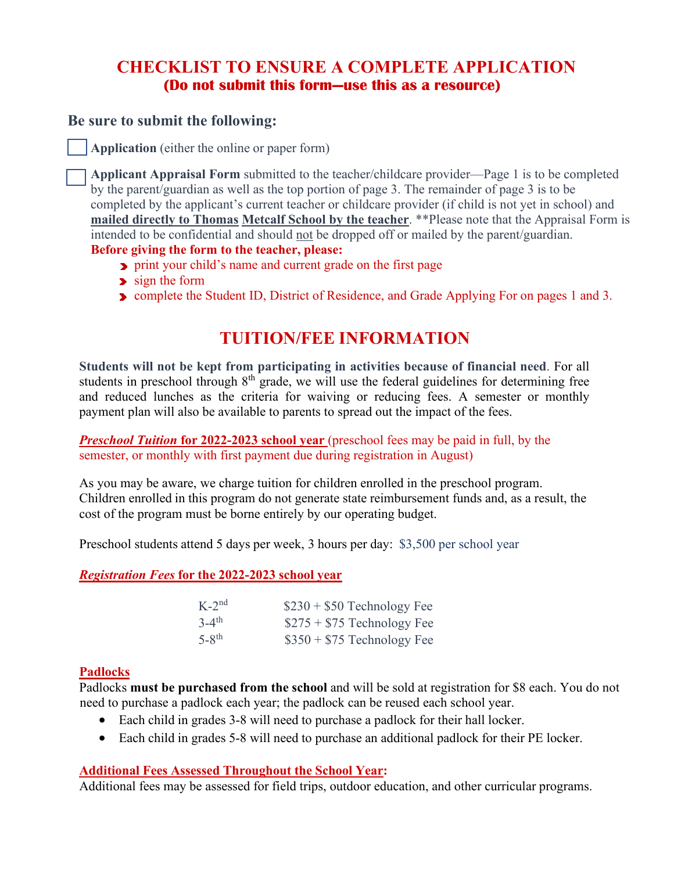## **CHECKLIST TO ENSURE A COMPLETE APPLICATION (Do not submit this form—use this as a resource)**

### **Be sure to submit the following:**

**Application** (either the online or paper form)

**Applicant Appraisal Form** submitted to the teacher/childcare provider—Page 1 is to be completed by the parent/guardian as well as the top portion of page 3. The remainder of page 3 is to be completed by the applicant's current teacher or childcare provider (if child is not yet in school) and **mailed directly to Thomas Metcalf School by the teacher**. \*\*Please note that the Appraisal Form is intended to be confidential and should not be dropped off or mailed by the parent/guardian. **Before giving the form to the teacher, please:**

- **P** print your child's name and current grade on the first page
- sign the form
- **Demander Student ID, District of Residence, and Grade Applying For on pages 1 and 3.**

## **TUITION/FEE INFORMATION**

**Students will not be kept from participating in activities because of financial need**. For all students in preschool through  $8<sup>th</sup>$  grade, we will use the federal guidelines for determining free and reduced lunches as the criteria for waiving or reducing fees. A semester or monthly payment plan will also be available to parents to spread out the impact of the fees.

*Preschool Tuition for 2022-2023 school year (preschool fees may be paid in full, by the* semester, or monthly with first payment due during registration in August)

As you may be aware, we charge tuition for children enrolled in the preschool program. Children enrolled in this program do not generate state reimbursement funds and, as a result, the cost of the program must be borne entirely by our operating budget.

Preschool students attend 5 days per week, 3 hours per day: \$3,500 per school year

*Registration Fees* **for the 2022-2023 school year**

| $K-2^{nd}$          | $$230 + $50$ Technology Fee |
|---------------------|-----------------------------|
| $3-4$ <sup>th</sup> | $$275 + $75$ Technology Fee |
| $5-8$ <sup>th</sup> | $$350 + $75$ Technology Fee |

#### **Padlocks**

Padlocks **must be purchased from the school** and will be sold at registration for \$8 each. You do not need to purchase a padlock each year; the padlock can be reused each school year.

- Each child in grades 3-8 will need to purchase a padlock for their hall locker.
- Each child in grades 5-8 will need to purchase an additional padlock for their PE locker.

### **Additional Fees Assessed Throughout the School Year:**

Additional fees may be assessed for field trips, outdoor education, and other curricular programs.